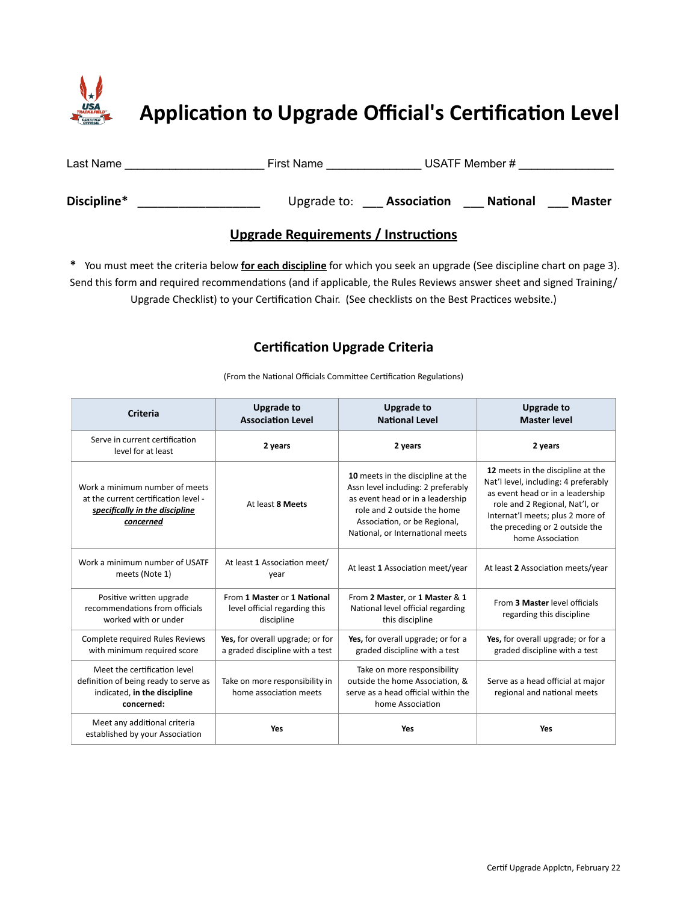

| Last Name   | <b>First Name</b> | USATF Member #                 |               |
|-------------|-------------------|--------------------------------|---------------|
| Discipline* | Upgrade to:       | Association<br><b>National</b> | <b>Master</b> |

## **Upgrade Requirements / Instructions**

 **\*** You must meet the criteria below **for each discipline** for which you seek an upgrade (See discipline chart on page 3). Send this form and required recommendations (and if applicable, the Rules Reviews answer sheet and signed Training/ Upgrade Checklist) to your Certification Chair. (See checklists on the Best Practices website.)

## **Certification Upgrade Criteria**

(From the National Officials Committee Certification Regulations)

| <b>Criteria</b>                                                                                                       | <b>Upgrade to</b><br><b>Association Level</b>                              | <b>Upgrade to</b><br><b>National Level</b>                                                                                                                                                                     | <b>Upgrade to</b><br><b>Master level</b>                                                                                                                                                                                                  |
|-----------------------------------------------------------------------------------------------------------------------|----------------------------------------------------------------------------|----------------------------------------------------------------------------------------------------------------------------------------------------------------------------------------------------------------|-------------------------------------------------------------------------------------------------------------------------------------------------------------------------------------------------------------------------------------------|
| Serve in current certification<br>level for at least                                                                  | 2 years                                                                    | 2 years                                                                                                                                                                                                        | 2 years                                                                                                                                                                                                                                   |
| Work a minimum number of meets<br>at the current certification level -<br>specifically in the discipline<br>concerned | At least 8 Meets                                                           | 10 meets in the discipline at the<br>Assn level including: 2 preferably<br>as event head or in a leadership<br>role and 2 outside the home<br>Association, or be Regional,<br>National, or International meets | 12 meets in the discipline at the<br>Nat'l level, including: 4 preferably<br>as event head or in a leadership<br>role and 2 Regional, Nat'l, or<br>Internat'l meets; plus 2 more of<br>the preceding or 2 outside the<br>home Association |
| Work a minimum number of USATF<br>meets (Note 1)                                                                      | At least 1 Association meet/<br>year                                       | At least 1 Association meet/year                                                                                                                                                                               | At least 2 Association meets/year                                                                                                                                                                                                         |
| Positive written upgrade<br>recommendations from officials<br>worked with or under                                    | From 1 Master or 1 National<br>level official regarding this<br>discipline | From 2 Master, or 1 Master & 1<br>National level official regarding<br>this discipline                                                                                                                         | From 3 Master level officials<br>regarding this discipline                                                                                                                                                                                |
| Complete required Rules Reviews<br>with minimum required score                                                        | Yes, for overall upgrade; or for<br>a graded discipline with a test        | Yes, for overall upgrade; or for a<br>graded discipline with a test                                                                                                                                            | Yes, for overall upgrade; or for a<br>graded discipline with a test                                                                                                                                                                       |
| Meet the certification level<br>definition of being ready to serve as<br>indicated, in the discipline<br>concerned:   | Take on more responsibility in<br>home association meets                   | Take on more responsibility<br>outside the home Association, &<br>serve as a head official within the<br>home Association                                                                                      | Serve as a head official at major<br>regional and national meets                                                                                                                                                                          |
| Meet any additional criteria<br>established by your Association                                                       | Yes                                                                        | Yes                                                                                                                                                                                                            | Yes                                                                                                                                                                                                                                       |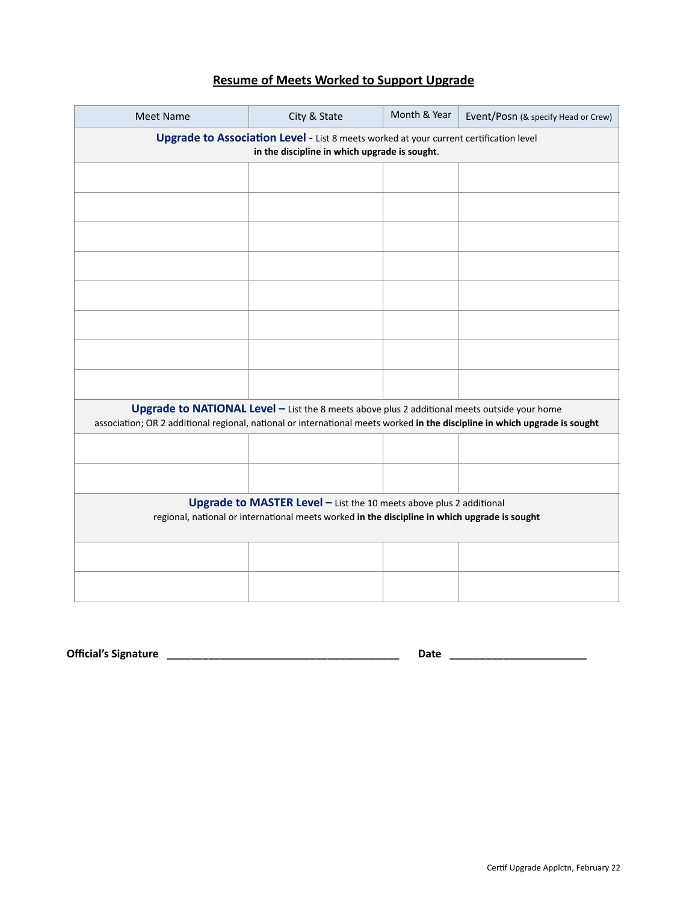## **Resume of Meets Worked to Support Upgrade**

| <b>Meet Name</b>                                                                                                                                                                                                           | City & State | Month & Year | Event/Posn (& specify Head or Crew) |  |  |
|----------------------------------------------------------------------------------------------------------------------------------------------------------------------------------------------------------------------------|--------------|--------------|-------------------------------------|--|--|
| Upgrade to Association Level - List 8 meets worked at your current certification level<br>in the discipline in which upgrade is sought.                                                                                    |              |              |                                     |  |  |
|                                                                                                                                                                                                                            |              |              |                                     |  |  |
|                                                                                                                                                                                                                            |              |              |                                     |  |  |
|                                                                                                                                                                                                                            |              |              |                                     |  |  |
|                                                                                                                                                                                                                            |              |              |                                     |  |  |
|                                                                                                                                                                                                                            |              |              |                                     |  |  |
|                                                                                                                                                                                                                            |              |              |                                     |  |  |
|                                                                                                                                                                                                                            |              |              |                                     |  |  |
|                                                                                                                                                                                                                            |              |              |                                     |  |  |
| Upgrade to NATIONAL Level - List the 8 meets above plus 2 additional meets outside your home<br>association; OR 2 additional regional, national or international meets worked in the discipline in which upgrade is sought |              |              |                                     |  |  |
|                                                                                                                                                                                                                            |              |              |                                     |  |  |
|                                                                                                                                                                                                                            |              |              |                                     |  |  |
| Upgrade to MASTER Level - List the 10 meets above plus 2 additional<br>regional, national or international meets worked in the discipline in which upgrade is sought                                                       |              |              |                                     |  |  |
|                                                                                                                                                                                                                            |              |              |                                     |  |  |
|                                                                                                                                                                                                                            |              |              |                                     |  |  |
|                                                                                                                                                                                                                            |              |              |                                     |  |  |

**Official's Signature \_\_\_\_\_\_\_\_\_\_\_\_\_\_\_\_\_\_\_\_\_\_\_\_\_\_\_\_\_\_\_\_\_\_\_\_\_\_\_ Date \_\_\_\_\_\_\_\_\_\_\_\_\_\_\_\_\_\_\_\_\_\_\_**